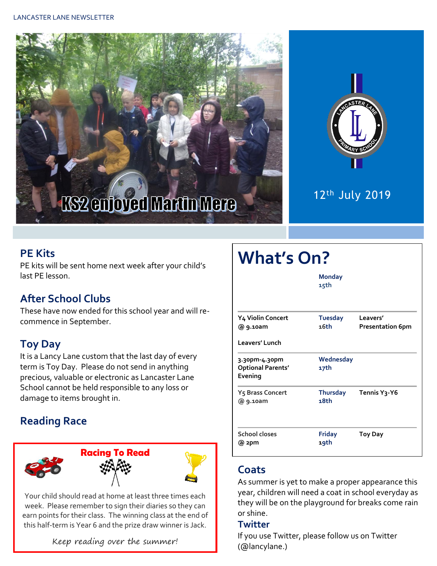



## 12th July 2019

### **PE Kits**

PE kits will be sent home next week after your child's last PE lesson.

### **After School Clubs**

These have now ended for this school year and will recommence in September.

## **Toy Day**

It is a Lancy Lane custom that the last day of every term is Toy Day. Please do not send in anything precious, valuable or electronic as Lancaster Lane School cannot be held responsible to any loss or damage to items brought in.

## **Reading Race**



Your child should read at home at least three times each week. Please remember to sign their diaries so they can earn points for their class. The winning class at the end of this half-term is Year 6 and the prize draw winner is Jack.

Keep reading over the summer!

| <b>What's On?</b>                                    |                        |                                     |  |  |  |  |
|------------------------------------------------------|------------------------|-------------------------------------|--|--|--|--|
|                                                      | <b>Monday</b><br>15th  |                                     |  |  |  |  |
| Y4 Violin Concert<br>@ 9.10am                        | <b>Tuesday</b><br>16th | Leavers'<br><b>Presentation 6pm</b> |  |  |  |  |
| Leavers' Lunch                                       |                        |                                     |  |  |  |  |
| 3.30pm-4.30pm<br><b>Optional Parents'</b><br>Evening | Wednesday<br>17th      |                                     |  |  |  |  |
| Y5 Brass Concert<br>@ 9.10am                         | Thursday<br>18th       | Tennis Y3-Y6                        |  |  |  |  |
| <b>School closes</b><br>@ 2pm                        | <b>Friday</b><br>19th  | <b>Toy Day</b>                      |  |  |  |  |

#### **Coats**

As summer is yet to make a proper appearance this year, children will need a coat in school everyday as they will be on the playground for breaks come rain or shine.

#### **Twitter**

If you use Twitter, please follow us on Twitter (@lancylane.)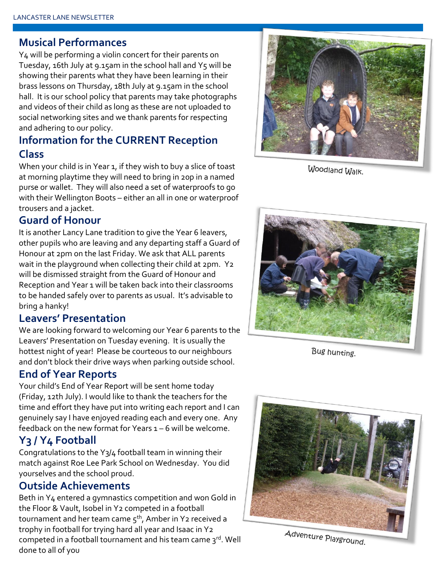#### **Musical Performances**

Y4 will be performing a violin concert for their parents on Tuesday, 16th July at 9.15am in the school hall and Y5 will be showing their parents what they have been learning in their brass lessons on Thursday, 18th July at 9.15am in the school hall. It is our school policy that parents may take photographs and videos of their child as long as these are not uploaded to social networking sites and we thank parents for respecting and adhering to our policy.

### **Information for the CURRENT Reception Class**

When your child is in Year 1, if they wish to buy a slice of toast at morning playtime they will need to bring in 20p in a named purse or wallet. They will also need a set of waterproofs to go with their Wellington Boots – either an all in one or waterproof trousers and a jacket.

#### **Guard of Honour**

It is another Lancy Lane tradition to give the Year 6 leavers, other pupils who are leaving and any departing staff a Guard of Honour at 2pm on the last Friday. We ask that ALL parents wait in the playground when collecting their child at 2pm. Y2 will be dismissed straight from the Guard of Honour and Reception and Year 1 will be taken back into their classrooms to be handed safely over to parents as usual. It's advisable to bring a hanky!

#### **Leavers' Presentation**

We are looking forward to welcoming our Year 6 parents to the Leavers' Presentation on Tuesday evening. It is usually the hottest night of year! Please be courteous to our neighbours and don't block their drive ways when parking outside school.

#### **End of Year Reports**

Your child's End of Year Report will be sent home today (Friday, 12th July). I would like to thank the teachers for the time and effort they have put into writing each report and I can genuinely say I have enjoyed reading each and every one. Any feedback on the new format for Years 1 – 6 will be welcome.

#### **Y3 / Y4 Football**

Congratulations to the Y3/4 football team in winning their match against Roe Lee Park School on Wednesday. You did yourselves and the school proud.

#### **Outside Achievements**

Beth in Y4 entered a gymnastics competition and won Gold in the Floor & Vault, Isobel in Y2 competed in a football tournament and her team came  $5<sup>th</sup>$ , Amber in Y2 received a trophy in football for trying hard all year and Isaac in Y2 competed in a football tournament and his team came 3rd. Well done to all of you



Woodland Walk.



Bug hunting.



Adventure Playground.